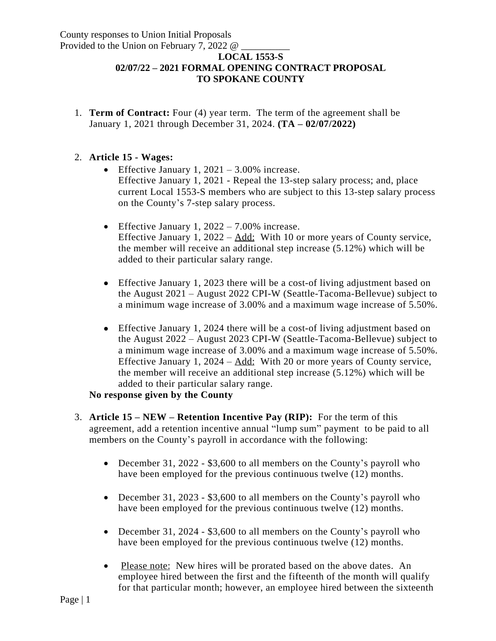## **LOCAL 1553-S 02/07/22 – 2021 FORMAL OPENING CONTRACT PROPOSAL TO SPOKANE COUNTY**

1. **Term of Contract:** Four (4) year term. The term of the agreement shall be January 1, 2021 through December 31, 2024. **(TA – 02/07/2022)**

## 2. **Article 15 - Wages:**

- Effective January 1,  $2021 3.00\%$  increase. Effective January 1, 2021 - Repeal the 13-step salary process; and, place current Local 1553-S members who are subject to this 13-step salary process on the County's 7-step salary process.
- **•** Effective January 1,  $2022 7.00\%$  increase. Effective January 1, 2022 – Add: With 10 or more years of County service, the member will receive an additional step increase (5.12%) which will be added to their particular salary range.
- Effective January 1, 2023 there will be a cost-of living adjustment based on the August 2021 – August 2022 CPI-W (Seattle-Tacoma-Bellevue) subject to a minimum wage increase of 3.00% and a maximum wage increase of 5.50%.
- Effective January 1, 2024 there will be a cost-of living adjustment based on the August 2022 – August 2023 CPI-W (Seattle-Tacoma-Bellevue) subject to a minimum wage increase of 3.00% and a maximum wage increase of 5.50%. Effective January 1,  $2024 - Add$ : With 20 or more years of County service, the member will receive an additional step increase (5.12%) which will be added to their particular salary range.

## **No response given by the County**

- 3. **Article 15 – NEW – Retention Incentive Pay (RIP):** For the term of this agreement, add a retention incentive annual "lump sum" payment to be paid to all members on the County's payroll in accordance with the following:
	- December 31, 2022 \$3,600 to all members on the County's payroll who have been employed for the previous continuous twelve (12) months.
	- December 31, 2023 \$3,600 to all members on the County's payroll who have been employed for the previous continuous twelve (12) months.
	- December 31, 2024 \$3,600 to all members on the County's payroll who have been employed for the previous continuous twelve (12) months.
	- Please note: New hires will be prorated based on the above dates. An employee hired between the first and the fifteenth of the month will qualify for that particular month; however, an employee hired between the sixteenth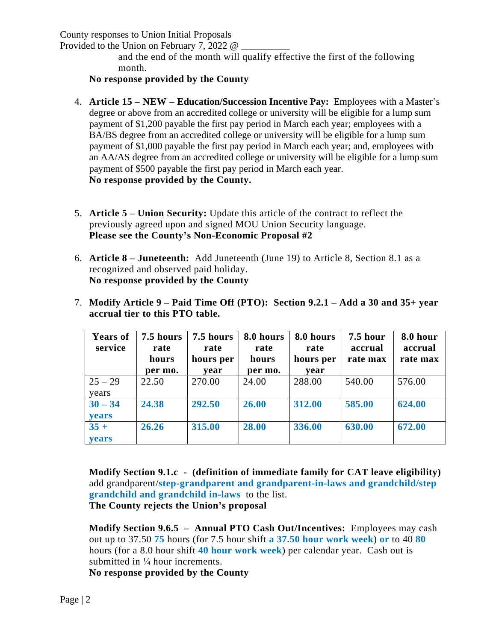Provided to the Union on February 7, 2022  $\omega$ 

and the end of the month will qualify effective the first of the following month.

**No response provided by the County**

- 4. **Article 15 – NEW – Education/Succession Incentive Pay:** Employees with a Master's degree or above from an accredited college or university will be eligible for a lump sum payment of \$1,200 payable the first pay period in March each year; employees with a BA/BS degree from an accredited college or university will be eligible for a lump sum payment of \$1,000 payable the first pay period in March each year; and, employees with an AA/AS degree from an accredited college or university will be eligible for a lump sum payment of \$500 payable the first pay period in March each year. **No response provided by the County.**
- 5. **Article 5 – Union Security:** Update this article of the contract to reflect the previously agreed upon and signed MOU Union Security language. **Please see the County's Non-Economic Proposal #2**
- 6. **Article 8 – Juneteenth:** Add Juneteenth (June 19) to Article 8, Section 8.1 as a recognized and observed paid holiday. **No response provided by the County**
- 7. **Modify Article 9 – Paid Time Off (PTO): Section 9.2.1 – Add a 30 and 35+ year accrual tier to this PTO table.**

| <b>Years of</b> | 7.5 hours | 7.5 hours | 8.0 hours | 8.0 hours | $7.5$ hour | 8.0 hour |
|-----------------|-----------|-----------|-----------|-----------|------------|----------|
| service         | rate      | rate      | rate      | rate      | accrual    | accrual  |
|                 | hours     | hours per | hours     | hours per | rate max   | rate max |
|                 | per mo.   | year      | per mo.   | year      |            |          |
| $25 - 29$       | 22.50     | 270.00    | 24.00     | 288.00    | 540.00     | 576.00   |
| years           |           |           |           |           |            |          |
| $30 - 34$       | 24.38     | 292.50    | 26.00     | 312.00    | 585.00     | 624.00   |
| years           |           |           |           |           |            |          |
| $35 +$          | 26.26     | 315.00    | 28.00     | 336.00    | 630.00     | 672.00   |
| years           |           |           |           |           |            |          |

**Modify Section 9.1.c - (definition of immediate family for CAT leave eligibility)** add grandparent/**step-grandparent and grandparent-in-laws and grandchild/step grandchild and grandchild in-laws** to the list. **The County rejects the Union's proposal**

**Modify Section 9.6.5 – Annual PTO Cash Out/Incentives:** Employees may cash out up to 37.50 **75** hours (for 7.5 hour shift **a 37.50 hour work week**) **or** to 40 **80** hours (for a 8.0 hour shift **40 hour work week**) per calendar year. Cash out is submitted in  $\frac{1}{4}$  hour increments.

**No response provided by the County**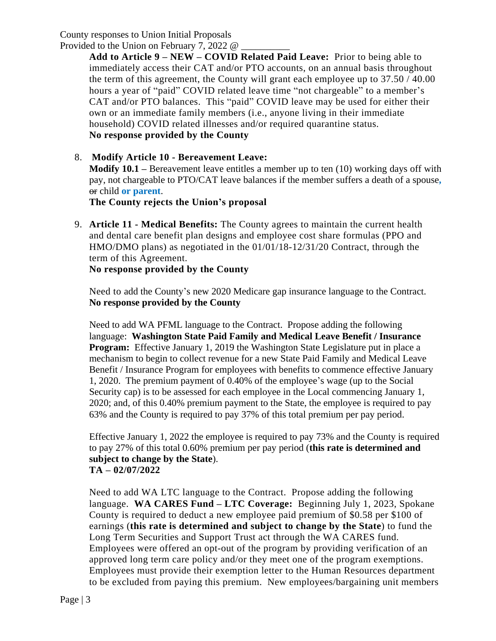Provided to the Union on February 7, 2022 @

**Add to Article 9 – NEW – COVID Related Paid Leave:** Prior to being able to immediately access their CAT and/or PTO accounts, on an annual basis throughout the term of this agreement, the County will grant each employee up to  $37.50 / 40.00$ hours a year of "paid" COVID related leave time "not chargeable" to a member's CAT and/or PTO balances. This "paid" COVID leave may be used for either their own or an immediate family members (i.e., anyone living in their immediate household) COVID related illnesses and/or required quarantine status. **No response provided by the County**

## 8. **Modify Article 10 - Bereavement Leave:**

**Modify 10.1 –** Bereavement leave entitles a member up to ten (10) working days off with pay, not chargeable to PTO/CAT leave balances if the member suffers a death of a spouse**,** or child **or parent**.

**The County rejects the Union's proposal**

9. **Article 11 - Medical Benefits:** The County agrees to maintain the current health and dental care benefit plan designs and employee cost share formulas (PPO and HMO/DMO plans) as negotiated in the 01/01/18-12/31/20 Contract, through the term of this Agreement.

**No response provided by the County**

Need to add the County's new 2020 Medicare gap insurance language to the Contract. **No response provided by the County**

Need to add WA PFML language to the Contract. Propose adding the following language: **Washington State Paid Family and Medical Leave Benefit / Insurance Program:** Effective January 1, 2019 the Washington State Legislature put in place a mechanism to begin to collect revenue for a new State Paid Family and Medical Leave Benefit / Insurance Program for employees with benefits to commence effective January 1, 2020. The premium payment of 0.40% of the employee's wage (up to the Social Security cap) is to be assessed for each employee in the Local commencing January 1, 2020; and, of this 0.40% premium payment to the State, the employee is required to pay 63% and the County is required to pay 37% of this total premium per pay period.

Effective January 1, 2022 the employee is required to pay 73% and the County is required to pay 27% of this total 0.60% premium per pay period (**this rate is determined and subject to change by the State**). **TA – 02/07/2022**

Need to add WA LTC language to the Contract. Propose adding the following language. **WA CARES Fund – LTC Coverage:** Beginning July 1, 2023, Spokane County is required to deduct a new employee paid premium of \$0.58 per \$100 of earnings (**this rate is determined and subject to change by the State**) to fund the Long Term Securities and Support Trust act through the WA CARES fund. Employees were offered an opt-out of the program by providing verification of an approved long term care policy and/or they meet one of the program exemptions. Employees must provide their exemption letter to the Human Resources department to be excluded from paying this premium. New employees/bargaining unit members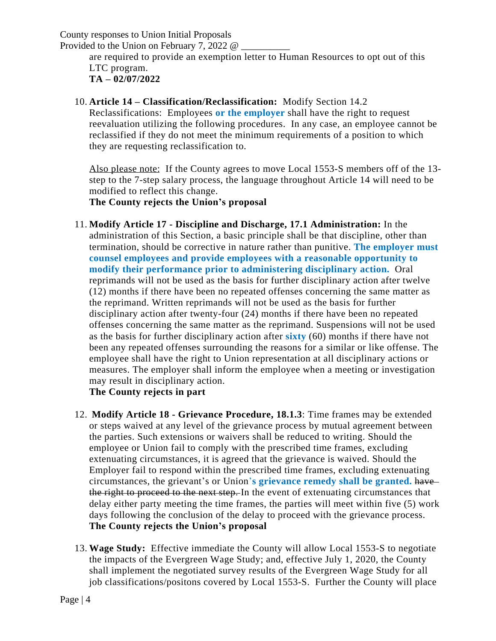Provided to the Union on February 7, 2022 @

are required to provide an exemption letter to Human Resources to opt out of this LTC program. **TA – 02/07/2022**

10. **Article 14 – Classification/Reclassification:** Modify Section 14.2

Reclassifications: Employees **or the employer** shall have the right to request reevaluation utilizing the following procedures. In any case, an employee cannot be reclassified if they do not meet the minimum requirements of a position to which they are requesting reclassification to.

Also please note: If the County agrees to move Local 1553-S members off of the 13 step to the 7-step salary process, the language throughout Article 14 will need to be modified to reflect this change.

**The County rejects the Union's proposal**

11. **Modify Article 17 - Discipline and Discharge, 17.1 Administration:** In the administration of this Section, a basic principle shall be that discipline, other than termination, should be corrective in nature rather than punitive. **The employer must counsel employees and provide employees with a reasonable opportunity to modify their performance prior to administering disciplinary action.** Oral reprimands will not be used as the basis for further disciplinary action after twelve (12) months if there have been no repeated offenses concerning the same matter as the reprimand. Written reprimands will not be used as the basis for further disciplinary action after twenty-four (24) months if there have been no repeated offenses concerning the same matter as the reprimand. Suspensions will not be used as the basis for further disciplinary action after **sixty** (60) months if there have not been any repeated offenses surrounding the reasons for a similar or like offense. The employee shall have the right to Union representation at all disciplinary actions or measures. The employer shall inform the employee when a meeting or investigation may result in disciplinary action.

**The County rejects in part**

- 12. **Modify Article 18 - Grievance Procedure, 18.1.3**: Time frames may be extended or steps waived at any level of the grievance process by mutual agreement between the parties. Such extensions or waivers shall be reduced to writing. Should the employee or Union fail to comply with the prescribed time frames, excluding extenuating circumstances, it is agreed that the grievance is waived. Should the Employer fail to respond within the prescribed time frames, excluding extenuating circumstances, the grievant's or Union'**s grievance remedy shall be granted.** have the right to proceed to the next step. In the event of extenuating circumstances that delay either party meeting the time frames, the parties will meet within five (5) work days following the conclusion of the delay to proceed with the grievance process. **The County rejects the Union's proposal**
- 13. **Wage Study:** Effective immediate the County will allow Local 1553-S to negotiate the impacts of the Evergreen Wage Study; and, effective July 1, 2020, the County shall implement the negotiated survey results of the Evergreen Wage Study for all job classifications/positons covered by Local 1553-S. Further the County will place